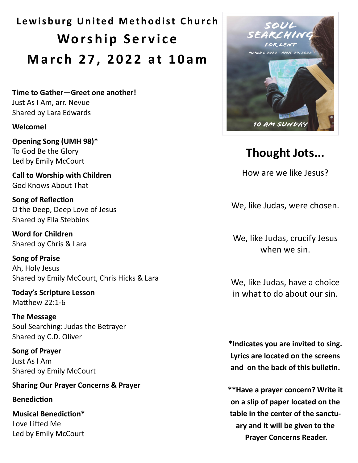**Lewisburg United Methodist Church Worship Service M a r c h 2 7 , 2 0 2 2 a t 1 0 a m**

**Time to Gather—Greet one another!**  Just As I Am, arr. Nevue Shared by Lara Edwards

#### **Welcome!**

**Opening Song (UMH 98)\*** To God Be the Glory Led by Emily McCourt

**Call to Worship with Children**  God Knows About That

**Song of Reflection**  O the Deep, Deep Love of Jesus Shared by Ella Stebbins

**Word for Children** Shared by Chris & Lara

**Song of Praise** Ah, Holy Jesus Shared by Emily McCourt, Chris Hicks & Lara

**Today's Scripture Lesson** Matthew 22:1-6

**The Message** Soul Searching: Judas the Betrayer Shared by C.D. Oliver

**Song of Prayer** Just As I Am Shared by Emily McCourt

**Sharing Our Prayer Concerns & Prayer**

#### **Benediction**

**Musical Benediction\***  Love Lifted Me Led by Emily McCourt



## **Thought Jots...**

How are we like Jesus?

We, like Judas, were chosen.

We, like Judas, crucify Jesus when we sin.

We, like Judas, have a choice in what to do about our sin.

**\*Indicates you are invited to sing. Lyrics are located on the screens and on the back of this bulletin.** 

**\*\*Have a prayer concern? Write it on a slip of paper located on the table in the center of the sanctuary and it will be given to the Prayer Concerns Reader.**